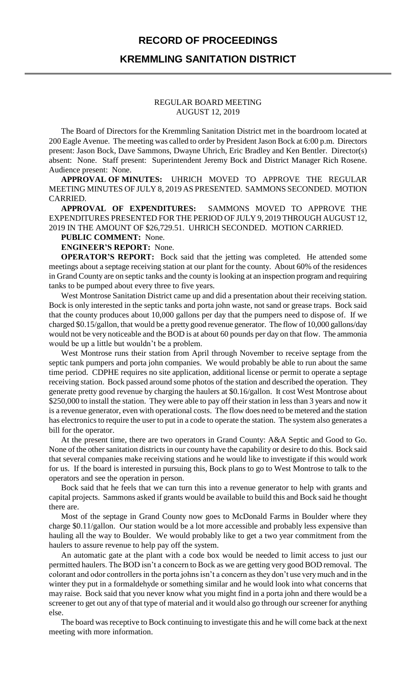## **RECORD OF PROCEEDINGS KREMMLING SANITATION DISTRICT**

## REGULAR BOARD MEETING AUGUST 12, 2019

The Board of Directors for the Kremmling Sanitation District met in the boardroom located at 200 Eagle Avenue. The meeting was called to order by President Jason Bock at 6:00 p.m. Directors present: Jason Bock, Dave Sammons, Dwayne Uhrich, Eric Bradley and Ken Bentler. Director(s) absent: None. Staff present: Superintendent Jeremy Bock and District Manager Rich Rosene. Audience present: None.

**APPROVAL OF MINUTES:** UHRICH MOVED TO APPROVE THE REGULAR MEETING MINUTES OF JULY 8, 2019 AS PRESENTED. SAMMONS SECONDED. MOTION CARRIED.

**APPROVAL OF EXPENDITURES:** SAMMONS MOVED TO APPROVE THE EXPENDITURES PRESENTED FOR THE PERIOD OF JULY 9, 2019 THROUGH AUGUST 12, 2019 IN THE AMOUNT OF \$26,729.51. UHRICH SECONDED. MOTION CARRIED.

**PUBLIC COMMENT:** None.

**ENGINEER'S REPORT:** None.

**OPERATOR'S REPORT:** Bock said that the jetting was completed. He attended some meetings about a septage receiving station at our plant for the county. About 60% of the residences in Grand County are on septic tanks and the county is looking at an inspection program and requiring tanks to be pumped about every three to five years.

West Montrose Sanitation District came up and did a presentation about their receiving station. Bock is only interested in the septic tanks and porta john waste, not sand or grease traps. Bock said that the county produces about 10,000 gallons per day that the pumpers need to dispose of. If we charged \$0.15/gallon, that would be a pretty good revenue generator. The flow of 10,000 gallons/day would not be very noticeable and the BOD is at about 60 pounds per day on that flow. The ammonia would be up a little but wouldn't be a problem.

West Montrose runs their station from April through November to receive septage from the septic tank pumpers and porta john companies. We would probably be able to run about the same time period. CDPHE requires no site application, additional license or permit to operate a septage receiving station. Bock passed around some photos of the station and described the operation. They generate pretty good revenue by charging the haulers at \$0.16/gallon. It cost West Montrose about \$250,000 to install the station. They were able to pay off their station in less than 3 years and now it is a revenue generator, even with operational costs. The flow does need to be metered and the station has electronics to require the user to put in a code to operate the station. The system also generates a bill for the operator.

At the present time, there are two operators in Grand County: A&A Septic and Good to Go. None of the other sanitation districts in our county have the capability or desire to do this. Bock said that several companies make receiving stations and he would like to investigate if this would work for us. If the board is interested in pursuing this, Bock plans to go to West Montrose to talk to the operators and see the operation in person.

Bock said that he feels that we can turn this into a revenue generator to help with grants and capital projects. Sammons asked if grants would be available to build this and Bock said he thought there are.

Most of the septage in Grand County now goes to McDonald Farms in Boulder where they charge \$0.11/gallon. Our station would be a lot more accessible and probably less expensive than hauling all the way to Boulder. We would probably like to get a two year commitment from the haulers to assure revenue to help pay off the system.

An automatic gate at the plant with a code box would be needed to limit access to just our permitted haulers. The BOD isn't a concern to Bock as we are getting very good BOD removal. The colorant and odor controllers in the porta johns isn't a concern as they don't use very much and in the winter they put in a formaldehyde or something similar and he would look into what concerns that may raise. Bock said that you never know what you might find in a porta john and there would be a screener to get out any of that type of material and it would also go through our screener for anything else.

The board was receptive to Bock continuing to investigate this and he will come back at the next meeting with more information.